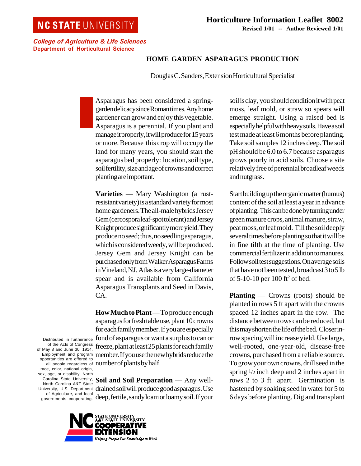## **NC STATE UNIVERSITY**

College of Agriculture & Life Sciences Department of Horticultural Science

## **HOME GARDEN ASPARAGUS PRODUCTION**

Douglas C. Sanders, Extension Horticultural Specialist

Asparagus has been considered a springgarden delicacy since Roman times. Any home gardener can grow and enjoy this vegetable. Asparagus is a perennial. If you plant and manage it properly, it will produce for 15 years or more. Because this crop will occupy the land for many years, you should start the asparagus bed properly: location, soil type, soil fertility, size and age of crowns and correct planting are important.

**Varieties** — Mary Washington (a rustresistant variety) is a standard variety for most home gardeners. The all-male hybrids Jersey Gem (cercospora leaf-spot tolerant) and Jersey Knight produce significantly more yield. They produce no seed; thus, no seedling asparagus, which is considered weedy, will be produced. Jersey Gem and Jersey Knight can be purchased only from Walker Asparagus Farms in Vineland, NJ. Atlas is a very large-diameter spear and is available from California Asparagus Transplants and Seed in Davis, CA.

**How Much to Plant** — To produce enough asparagus for fresh table use, plant 10 crowns for each family member. If you are especially fond of asparagus or want a surplus to can or freeze, plant at least 25 plants for each family member. If you use the new hybrids reduce the number of plants by half.

**Soil and Soil Preparation** — Any welldrained soil will produce good asparagus. Use deep, fertile, sandy loam or loamy soil. If your



Distributed in furtherance of the Acts of Congress of May 8 and June 30, 1914. Employment and program opportunities are offered to all people regardless of race, color, national origin, sex, age, or disability. North Carolina State University, North Carolina A&T State University, U.S. Department of Agriculture, and local governments cooperating. soil is clay, you should condition it with peat moss, leaf mold, or straw so spears will emerge straight. Using a raised bed is especially helpful with heavy soils. Have a soil test made at least 6 months before planting. Take soil samples 12 inches deep. The soil pH should be 6.0 to 6.7 because asparagus grows poorly in acid soils. Choose a site relatively free of perennial broadleaf weeds and nutgrass.

Start building up the organic matter (humus) content of the soil at least a year in advance of planting. This can be done by turning under green manure crops, animal manure, straw, peat moss, or leaf mold. Till the soil deeply several times before planting so that it will be in fine tilth at the time of planting. Use commercial fertilizer in addition to manures. Follow soil test suggestions. On average soils that have not been tested, broadcast 3 to 5 lb of 5-10-10 per 100 ft<sup>2</sup> of bed.

**Planting** — Crowns (roots) should be planted in rows 5 ft apart with the crowns spaced 12 inches apart in the row. The distance between rows can be reduced, but this may shorten the life of the bed. Closer inrow spacing will increase yield. Use large, well-rooted, one-year-old, disease-free crowns, purchased from a reliable source. To grow your own crowns, drill seed in the spring  $\frac{1}{2}$  inch deep and 2 inches apart in rows 2 to 3 ft apart. Germination is hastened by soaking seed in water for 5 to 6 days before planting. Dig and transplant